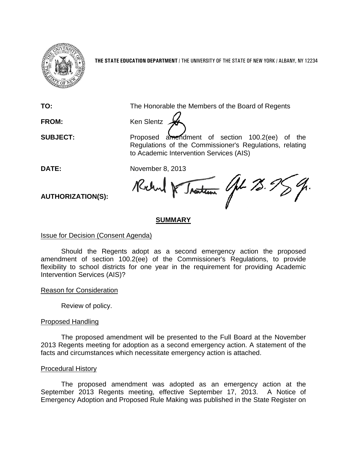

**THE STATE EDUCATION DEPARTMENT** / THE UNIVERSITY OF THE STATE OF NEW YORK / ALBANY, NY 12234

**TO:** The Honorable the Members of the Board of Regents

**FROM:** Ken Slentz

**SUBJECT:** Proposed amendment of section 100.2(ee) of the Regulations of the Commissioner's Regulations, relating to Academic Intervention Services (AIS)

DATE: November 8, 2013<br>AUTHORIZATION(S): Rectord R Jna<del>stein</del> Gpt 73.95

**AUTHORIZATION(S):**

# **SUMMARY**

## Issue for Decision (Consent Agenda)

Should the Regents adopt as a second emergency action the proposed amendment of section 100.2(ee) of the Commissioner's Regulations, to provide flexibility to school districts for one year in the requirement for providing Academic Intervention Services (AIS)?

Reason for Consideration

Review of policy.

## Proposed Handling

The proposed amendment will be presented to the Full Board at the November 2013 Regents meeting for adoption as a second emergency action. A statement of the facts and circumstances which necessitate emergency action is attached.

## Procedural History

The proposed amendment was adopted as an emergency action at the September 2013 Regents meeting, effective September 17, 2013. A Notice of Emergency Adoption and Proposed Rule Making was published in the State Register on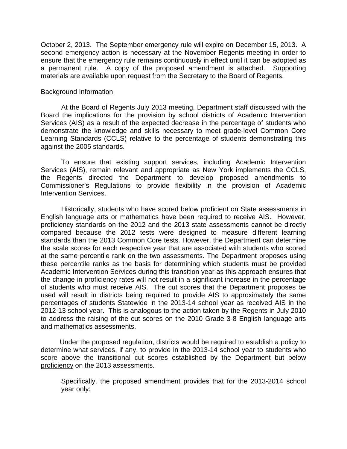October 2, 2013. The September emergency rule will expire on December 15, 2013. A second emergency action is necessary at the November Regents meeting in order to ensure that the emergency rule remains continuously in effect until it can be adopted as a permanent rule. A copy of the proposed amendment is attached. Supporting materials are available upon request from the Secretary to the Board of Regents.

#### Background Information

At the Board of Regents July 2013 meeting, Department staff discussed with the Board the implications for the provision by school districts of Academic Intervention Services (AIS) as a result of the expected decrease in the percentage of students who demonstrate the knowledge and skills necessary to meet grade-level Common Core Learning Standards (CCLS) relative to the percentage of students demonstrating this against the 2005 standards.

To ensure that existing support services, including Academic Intervention Services (AIS), remain relevant and appropriate as New York implements the CCLS, the Regents directed the Department to develop proposed amendments to Commissioner's Regulations to provide flexibility in the provision of Academic Intervention Services.

Historically, students who have scored below proficient on State assessments in English language arts or mathematics have been required to receive AIS. However, proficiency standards on the 2012 and the 2013 state assessments cannot be directly compared because the 2012 tests were designed to measure different learning standards than the 2013 Common Core tests. However, the Department can determine the scale scores for each respective year that are associated with students who scored at the same percentile rank on the two assessments. The Department proposes using these percentile ranks as the basis for determining which students must be provided Academic Intervention Services during this transition year as this approach ensures that the change in proficiency rates will not result in a significant increase in the percentage of students who must receive AIS. The cut scores that the Department proposes be used will result in districts being required to provide AIS to approximately the same percentages of students Statewide in the 2013-14 school year as received AIS in the 2012-13 school year. This is analogous to the action taken by the Regents in July 2010 to address the raising of the cut scores on the 2010 Grade 3-8 English language arts and mathematics assessments.

 Under the proposed regulation, districts would be required to establish a policy to determine what services, if any, to provide in the 2013-14 school year to students who score above the transitional cut scores established by the Department but below proficiency on the 2013 assessments.

Specifically, the proposed amendment provides that for the 2013-2014 school year only: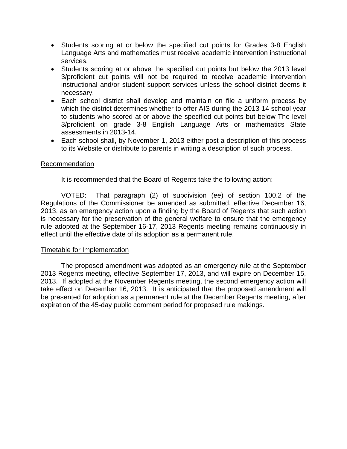- Students scoring at or below the specified cut points for Grades 3-8 English Language Arts and mathematics must receive academic intervention instructional services.
- Students scoring at or above the specified cut points but below the 2013 level 3/proficient cut points will not be required to receive academic intervention instructional and/or student support services unless the school district deems it necessary.
- Each school district shall develop and maintain on file a uniform process by which the district determines whether to offer AIS during the 2013-14 school year to students who scored at or above the specified cut points but below The level 3/proficient on grade 3-8 English Language Arts or mathematics State assessments in 2013-14.
- Each school shall, by November 1, 2013 either post a description of this process to its Website or distribute to parents in writing a description of such process.

#### Recommendation

It is recommended that the Board of Regents take the following action:

VOTED: That paragraph (2) of subdivision (ee) of section 100.2 of the Regulations of the Commissioner be amended as submitted, effective December 16, 2013, as an emergency action upon a finding by the Board of Regents that such action is necessary for the preservation of the general welfare to ensure that the emergency rule adopted at the September 16-17, 2013 Regents meeting remains continuously in effect until the effective date of its adoption as a permanent rule.

#### Timetable for Implementation

The proposed amendment was adopted as an emergency rule at the September 2013 Regents meeting, effective September 17, 2013, and will expire on December 15, 2013. If adopted at the November Regents meeting, the second emergency action will take effect on December 16, 2013. It is anticipated that the proposed amendment will be presented for adoption as a permanent rule at the December Regents meeting, after expiration of the 45-day public comment period for proposed rule makings.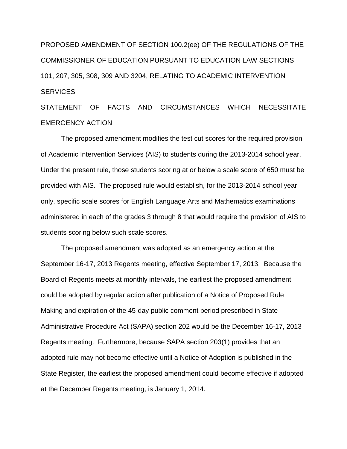PROPOSED AMENDMENT OF SECTION 100.2(ee) OF THE REGULATIONS OF THE COMMISSIONER OF EDUCATION PURSUANT TO EDUCATION LAW SECTIONS 101, 207, 305, 308, 309 AND 3204, RELATING TO ACADEMIC INTERVENTION **SERVICES** 

STATEMENT OF FACTS AND CIRCUMSTANCES WHICH NECESSITATE EMERGENCY ACTION

The proposed amendment modifies the test cut scores for the required provision of Academic Intervention Services (AIS) to students during the 2013-2014 school year. Under the present rule, those students scoring at or below a scale score of 650 must be provided with AIS. The proposed rule would establish, for the 2013-2014 school year only, specific scale scores for English Language Arts and Mathematics examinations administered in each of the grades 3 through 8 that would require the provision of AIS to students scoring below such scale scores.

The proposed amendment was adopted as an emergency action at the September 16-17, 2013 Regents meeting, effective September 17, 2013. Because the Board of Regents meets at monthly intervals, the earliest the proposed amendment could be adopted by regular action after publication of a Notice of Proposed Rule Making and expiration of the 45-day public comment period prescribed in State Administrative Procedure Act (SAPA) section 202 would be the December 16-17, 2013 Regents meeting. Furthermore, because SAPA section 203(1) provides that an adopted rule may not become effective until a Notice of Adoption is published in the State Register, the earliest the proposed amendment could become effective if adopted at the December Regents meeting, is January 1, 2014.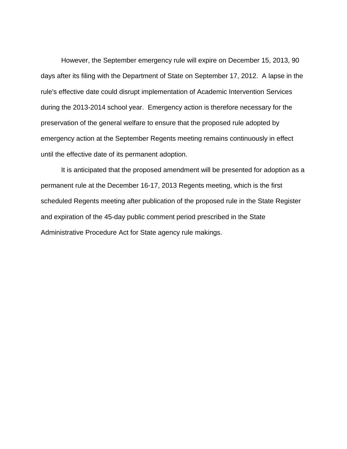However, the September emergency rule will expire on December 15, 2013, 90 days after its filing with the Department of State on September 17, 2012. A lapse in the rule's effective date could disrupt implementation of Academic Intervention Services during the 2013-2014 school year. Emergency action is therefore necessary for the preservation of the general welfare to ensure that the proposed rule adopted by emergency action at the September Regents meeting remains continuously in effect until the effective date of its permanent adoption.

It is anticipated that the proposed amendment will be presented for adoption as a permanent rule at the December 16-17, 2013 Regents meeting, which is the first scheduled Regents meeting after publication of the proposed rule in the State Register and expiration of the 45-day public comment period prescribed in the State Administrative Procedure Act for State agency rule makings.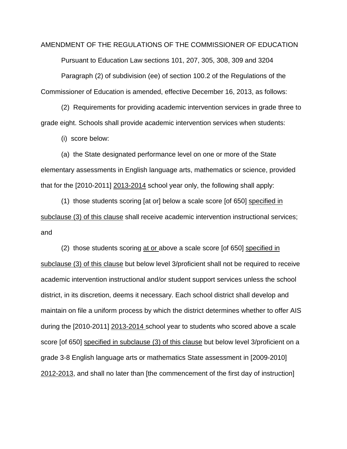AMENDMENT OF THE REGULATIONS OF THE COMMISSIONER OF EDUCATION Pursuant to Education Law sections 101, 207, 305, 308, 309 and 3204 Paragraph (2) of subdivision (ee) of section 100.2 of the Regulations of the Commissioner of Education is amended, effective December 16, 2013, as follows:

(2) Requirements for providing academic intervention services in grade three to grade eight. Schools shall provide academic intervention services when students:

(i) score below:

(a) the State designated performance level on one or more of the State elementary assessments in English language arts, mathematics or science, provided that for the [2010-2011] 2013-2014 school year only, the following shall apply:

(1) those students scoring [at or] below a scale score [of 650] specified in subclause (3) of this clause shall receive academic intervention instructional services; and

(2) those students scoring at or above a scale score [of 650] specified in subclause (3) of this clause but below level 3/proficient shall not be required to receive academic intervention instructional and/or student support services unless the school district, in its discretion, deems it necessary. Each school district shall develop and maintain on file a uniform process by which the district determines whether to offer AIS during the [2010-2011] 2013-2014 school year to students who scored above a scale score [of 650] specified in subclause (3) of this clause but below level 3/proficient on a grade 3-8 English language arts or mathematics State assessment in [2009-2010] 2012-2013, and shall no later than [the commencement of the first day of instruction]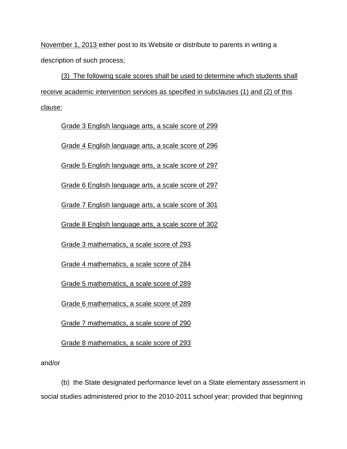November 1, 2013 either post to its Website or distribute to parents in writing a description of such process;

(3) The following scale scores shall be used to determine which students shall receive academic intervention services as specified in subclauses (1) and (2) of this clause:

Grade 3 English language arts, a scale score of 299

Grade 4 English language arts, a scale score of 296

Grade 5 English language arts, a scale score of 297

Grade 6 English language arts, a scale score of 297

Grade 7 English language arts, a scale score of 301

Grade 8 English language arts, a scale score of 302

Grade 3 mathematics, a scale score of 293

Grade 4 mathematics, a scale score of 284

Grade 5 mathematics, a scale score of 289

Grade 6 mathematics, a scale score of 289

Grade 7 mathematics, a scale score of 290

Grade 8 mathematics, a scale score of 293

and/or

(b) the State designated performance level on a State elementary assessment in social studies administered prior to the 2010-2011 school year; provided that beginning